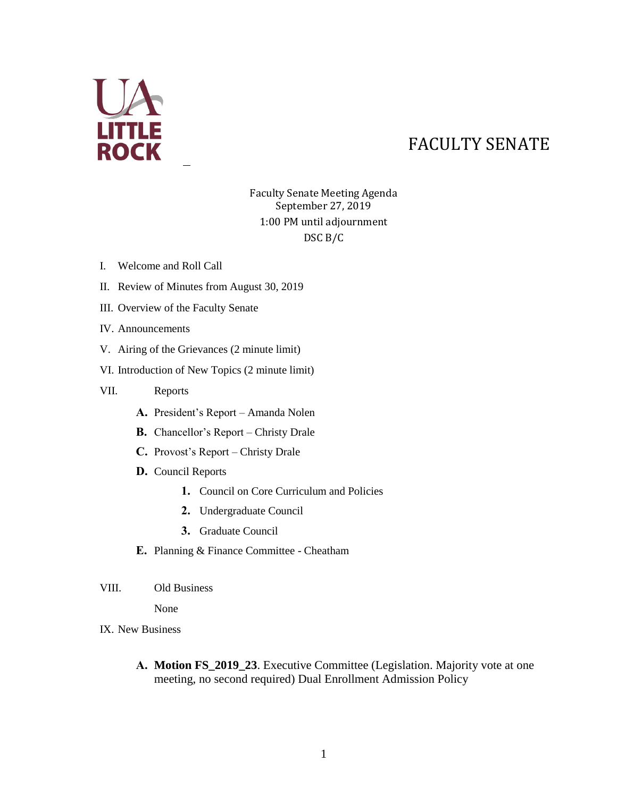

## FACULTY SENATE

## Faculty Senate Meeting Agenda September 27, 2019 1:00 PM until adjournment DSC B/C

- I. Welcome and Roll Call
- II. Review of Minutes from August 30, 2019
- III. Overview of the Faculty Senate
- IV. Announcements
- V. Airing of the Grievances (2 minute limit)
- VI. Introduction of New Topics (2 minute limit)
- VII. Reports
	- **A.** President's Report Amanda Nolen
	- **B.** Chancellor's Report Christy Drale
	- **C.** Provost's Report Christy Drale
	- **D.** Council Reports
		- **1.** Council on Core Curriculum and Policies
		- **2.** Undergraduate Council
		- **3.** Graduate Council
	- **E.** Planning & Finance Committee Cheatham
- VIII. Old Business

None

- IX. New Business
	- **A. Motion FS\_2019\_23**. Executive Committee (Legislation. Majority vote at one meeting, no second required) Dual Enrollment Admission Policy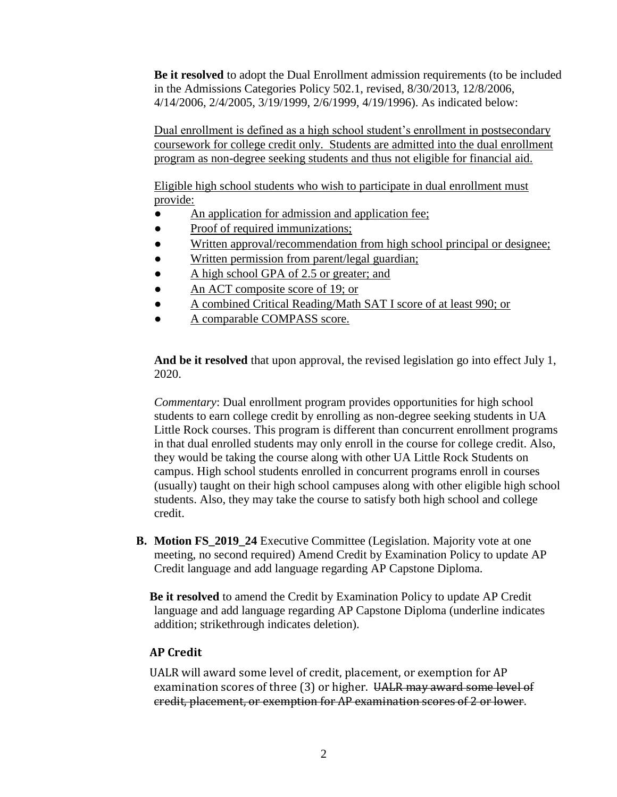**Be it resolved** to adopt the Dual Enrollment admission requirements (to be included in the Admissions Categories Policy 502.1, revised, 8/30/2013, 12/8/2006, 4/14/2006, 2/4/2005, 3/19/1999, 2/6/1999, 4/19/1996). As indicated below:

Dual enrollment is defined as a high school student's enrollment in postsecondary coursework for college credit only. Students are admitted into the dual enrollment program as non-degree seeking students and thus not eligible for financial aid.

Eligible high school students who wish to participate in dual enrollment must provide:

- An application for admission and application fee;
- Proof of required immunizations;
- Written approval/recommendation from high school principal or designee;
- Written permission from parent/legal guardian;
- A high school GPA of 2.5 or greater; and
- An ACT composite score of 19; or
- A combined Critical Reading/Math SAT I score of at least 990; or
- A comparable COMPASS score.

**And be it resolved** that upon approval, the revised legislation go into effect July 1, 2020.

*Commentary*: Dual enrollment program provides opportunities for high school students to earn college credit by enrolling as non-degree seeking students in UA Little Rock courses. This program is different than concurrent enrollment programs in that dual enrolled students may only enroll in the course for college credit. Also, they would be taking the course along with other UA Little Rock Students on campus. High school students enrolled in concurrent programs enroll in courses (usually) taught on their high school campuses along with other eligible high school students. Also, they may take the course to satisfy both high school and college credit.

**B. Motion FS\_2019\_24** Executive Committee (Legislation. Majority vote at one meeting, no second required) Amend Credit by Examination Policy to update AP Credit language and add language regarding AP Capstone Diploma.

**Be it resolved** to amend the Credit by Examination Policy to update AP Credit language and add language regarding AP Capstone Diploma (underline indicates addition; strikethrough indicates deletion).

## **AP Credit**

UALR will award some level of credit, placement, or exemption for AP examination scores of three (3) or higher. UALR may award some level of credit, placement, or exemption for AP examination scores of 2 or lower.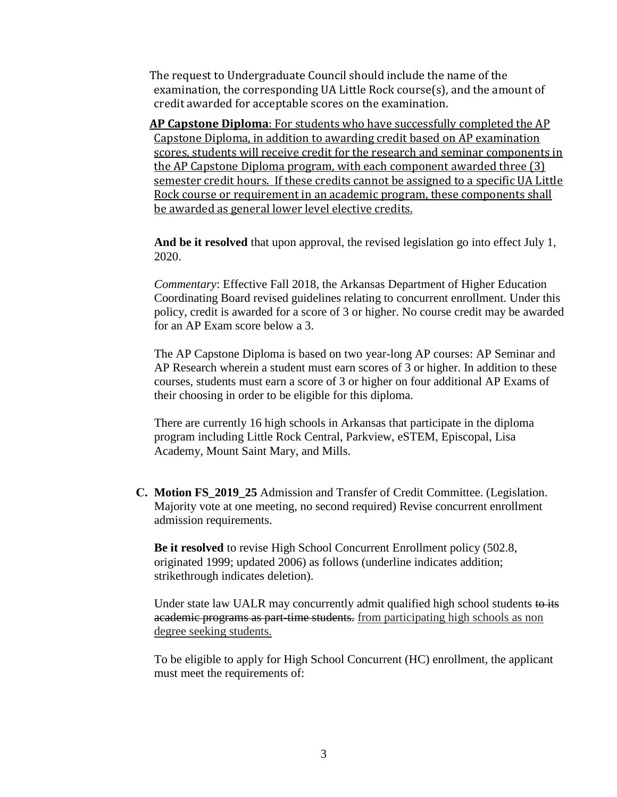The request to Undergraduate Council should include the name of the examination, the corresponding UA Little Rock course(s), and the amount of credit awarded for acceptable scores on the examination.

**AP Capstone Diploma**: For students who have successfully completed the AP Capstone Diploma, in addition to awarding credit based on AP examination scores, students will receive credit for the research and seminar components in the AP Capstone Diploma program, with each component awarded three (3) semester credit hours. If these credits cannot be assigned to a specific UA Little Rock course or requirement in an academic program, these components shall be awarded as general lower level elective credits.

**And be it resolved** that upon approval, the revised legislation go into effect July 1, 2020.

*Commentary*: Effective Fall 2018, the Arkansas Department of Higher Education Coordinating Board revised guidelines relating to concurrent enrollment. Under this policy, credit is awarded for a score of 3 or higher. No course credit may be awarded for an AP Exam score below a 3.

The AP Capstone Diploma is based on two year-long AP courses: AP Seminar and AP Research wherein a student must earn scores of 3 or higher. In addition to these courses, students must earn a score of 3 or higher on four additional AP Exams of their choosing in order to be eligible for this diploma.

There are currently 16 high schools in Arkansas that participate in the diploma program including Little Rock Central, Parkview, eSTEM, Episcopal, Lisa Academy, Mount Saint Mary, and Mills.

**C. Motion FS\_2019\_25** Admission and Transfer of Credit Committee. (Legislation. Majority vote at one meeting, no second required) Revise concurrent enrollment admission requirements.

**Be it resolved** to revise High School Concurrent Enrollment policy (502.8, originated 1999; updated 2006) as follows (underline indicates addition; strikethrough indicates deletion).

Under state law UALR may concurrently admit qualified high school students to its academic programs as part-time students. from participating high schools as non degree seeking students.

To be eligible to apply for High School Concurrent (HC) enrollment, the applicant must meet the requirements of: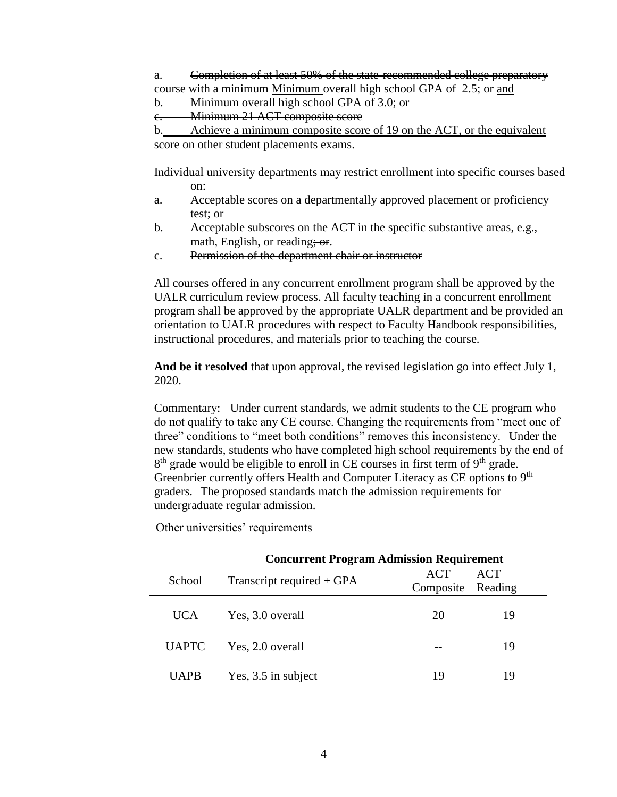- a. Completion of at least 50% of the state-recommended college preparatory course with a minimum Minimum overall high school GPA of 2.5; or and
- b. Minimum overall high school GPA of 3.0; or
- c. Minimum 21 ACT composite score

```
b. Achieve a minimum composite score of 19 on the ACT, or the equivalent 
score on other student placements exams.
```
Individual university departments may restrict enrollment into specific courses based on:

- a. Acceptable scores on a departmentally approved placement or proficiency test; or
- b. Acceptable subscores on the ACT in the specific substantive areas, e.g., math, English, or reading; or.
- c. Permission of the department chair or instructor

All courses offered in any concurrent enrollment program shall be approved by the UALR curriculum review process. All faculty teaching in a concurrent enrollment program shall be approved by the appropriate UALR department and be provided an orientation to UALR procedures with respect to Faculty Handbook responsibilities, instructional procedures, and materials prior to teaching the course.

**And be it resolved** that upon approval, the revised legislation go into effect July 1, 2020.

Commentary: Under current standards, we admit students to the CE program who do not qualify to take any CE course. Changing the requirements from "meet one of three" conditions to "meet both conditions" removes this inconsistency. Under the new standards, students who have completed high school requirements by the end of  $8<sup>th</sup>$  grade would be eligible to enroll in CE courses in first term of  $9<sup>th</sup>$  grade. Greenbrier currently offers Health and Computer Literacy as CE options to 9<sup>th</sup> graders. The proposed standards match the admission requirements for undergraduate regular admission.

|              | <b>Concurrent Program Admission Requirement</b> |                  |                |  |
|--------------|-------------------------------------------------|------------------|----------------|--|
| School       | Transcript required + GPA                       | ACT<br>Composite | ACT<br>Reading |  |
| UCA.         | Yes, 3.0 overall                                | 20               | 19             |  |
| <b>UAPTC</b> | Yes, 2.0 overall                                |                  | 19             |  |
| UAPB         | Yes, 3.5 in subject                             | 19               | 19             |  |

Other universities' requirements